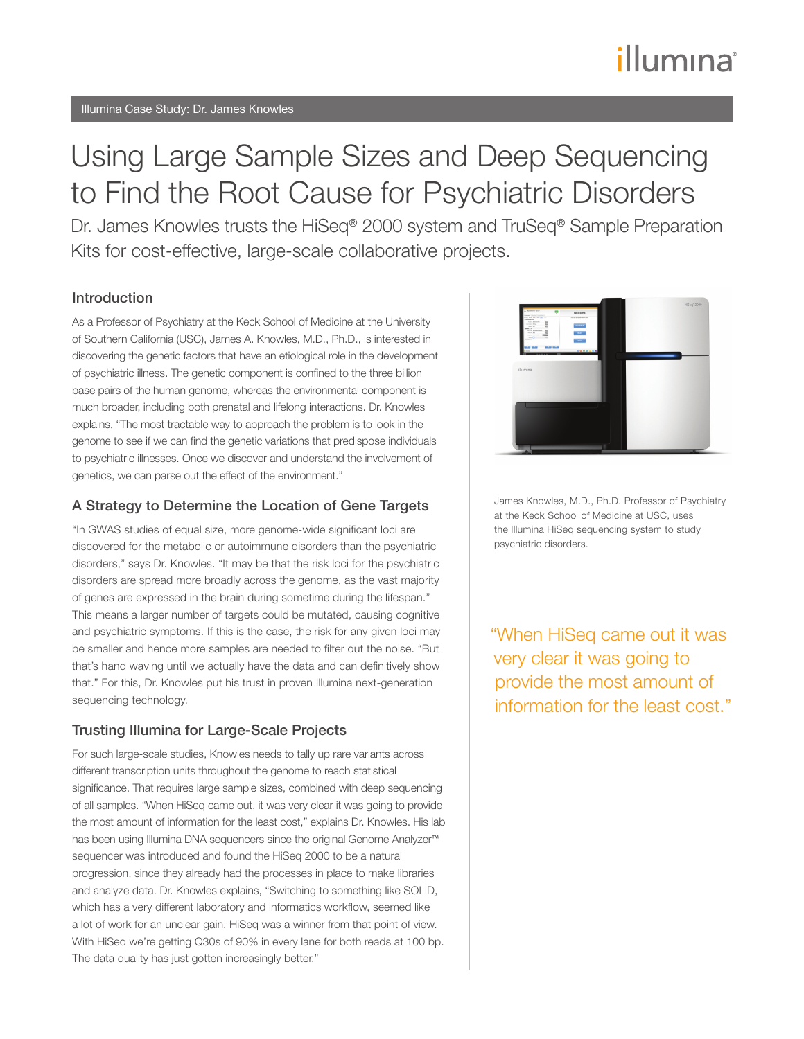# illumına

# Using Large Sample Sizes and Deep Sequencing to Find the Root Cause for Psychiatric Disorders

Dr. James Knowles trusts the HiSeq® 2000 system and TruSeq® Sample Preparation Kits for cost-effective, large-scale collaborative projects.

#### Introduction

As a Professor of Psychiatry at the Keck School of Medicine at the University of Southern California (USC), James A. Knowles, M.D., Ph.D., is interested in discovering the genetic factors that have an etiological role in the development of psychiatric illness. The genetic component is confined to the three billion base pairs of the human genome, whereas the environmental component is much broader, including both prenatal and lifelong interactions. Dr. Knowles explains, "The most tractable way to approach the problem is to look in the genome to see if we can find the genetic variations that predispose individuals to psychiatric illnesses. Once we discover and understand the involvement of genetics, we can parse out the effect of the environment."

#### A Strategy to Determine the Location of Gene Targets

"In GWAS studies of equal size, more genome-wide significant loci are discovered for the metabolic or autoimmune disorders than the psychiatric disorders," says Dr. Knowles. "It may be that the risk loci for the psychiatric disorders are spread more broadly across the genome, as the vast majority of genes are expressed in the brain during sometime during the lifespan." This means a larger number of targets could be mutated, causing cognitive and psychiatric symptoms. If this is the case, the risk for any given loci may be smaller and hence more samples are needed to filter out the noise. "But that's hand waving until we actually have the data and can definitively show that." For this, Dr. Knowles put his trust in proven Illumina next-generation sequencing technology.

#### Trusting Illumina for Large-Scale Projects

For such large-scale studies, Knowles needs to tally up rare variants across different transcription units throughout the genome to reach statistical significance. That requires large sample sizes, combined with deep sequencing of all samples. "When HiSeq came out, it was very clear it was going to provide the most amount of information for the least cost," explains Dr. Knowles. His lab has been using Illumina DNA sequencers since the original Genome Analyzer<sup>™</sup> sequencer was introduced and found the HiSeq 2000 to be a natural progression, since they already had the processes in place to make libraries and analyze data. Dr. Knowles explains, "Switching to something like SOLiD, which has a very different laboratory and informatics workflow, seemed like a lot of work for an unclear gain. HiSeq was a winner from that point of view. With HiSeq we're getting Q30s of 90% in every lane for both reads at 100 bp. The data quality has just gotten increasingly better."



James Knowles, M.D., Ph.D. Professor of Psychiatry at the Keck School of Medicine at USC, uses the Illumina HiSeq sequencing system to study psychiatric disorders.

"When HiSeq came out it was very clear it was going to provide the most amount of information for the least cost."